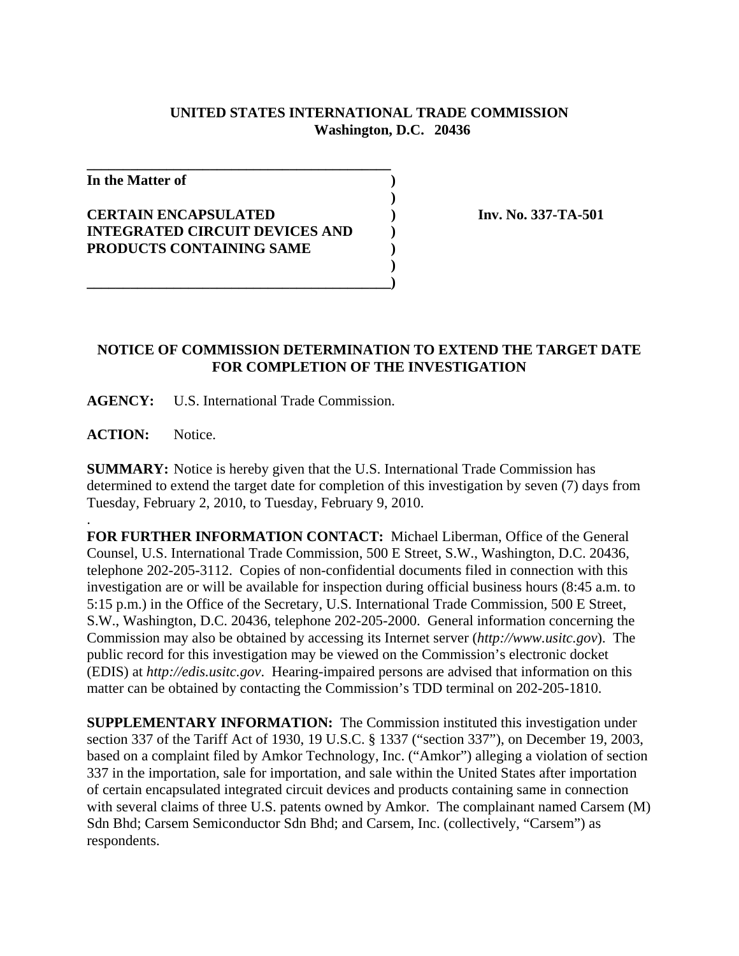## **UNITED STATES INTERNATIONAL TRADE COMMISSION Washington, D.C. 20436**

**)**

**)**

**In the Matter of )**

## **CERTAIN ENCAPSULATED ) Inv. No. 337-TA-501 INTEGRATED CIRCUIT DEVICES AND ) PRODUCTS CONTAINING SAME )**

**\_\_\_\_\_\_\_\_\_\_\_\_\_\_\_\_\_\_\_\_\_\_\_\_\_\_\_\_\_\_\_\_\_\_\_\_\_\_\_\_\_\_**

## **NOTICE OF COMMISSION DETERMINATION TO EXTEND THE TARGET DATE FOR COMPLETION OF THE INVESTIGATION**

**AGENCY:** U.S. International Trade Commission.

**\_\_\_\_\_\_\_\_\_\_\_\_\_\_\_\_\_\_\_\_\_\_\_\_\_\_\_\_\_\_\_\_\_\_\_\_\_\_\_\_\_\_)**

ACTION: Notice.

.

**SUMMARY:** Notice is hereby given that the U.S. International Trade Commission has determined to extend the target date for completion of this investigation by seven (7) days from Tuesday, February 2, 2010, to Tuesday, February 9, 2010.

**FOR FURTHER INFORMATION CONTACT:** Michael Liberman, Office of the General Counsel, U.S. International Trade Commission, 500 E Street, S.W., Washington, D.C. 20436, telephone 202-205-3112. Copies of non-confidential documents filed in connection with this investigation are or will be available for inspection during official business hours (8:45 a.m. to 5:15 p.m.) in the Office of the Secretary, U.S. International Trade Commission, 500 E Street, S.W., Washington, D.C. 20436, telephone 202-205-2000. General information concerning the Commission may also be obtained by accessing its Internet server (*http://www.usitc.gov*). The public record for this investigation may be viewed on the Commission's electronic docket (EDIS) at *http://edis.usitc.gov*. Hearing-impaired persons are advised that information on this matter can be obtained by contacting the Commission's TDD terminal on 202-205-1810.

**SUPPLEMENTARY INFORMATION:** The Commission instituted this investigation under section 337 of the Tariff Act of 1930, 19 U.S.C. § 1337 ("section 337"), on December 19, 2003, based on a complaint filed by Amkor Technology, Inc. ("Amkor") alleging a violation of section 337 in the importation, sale for importation, and sale within the United States after importation of certain encapsulated integrated circuit devices and products containing same in connection with several claims of three U.S. patents owned by Amkor. The complainant named Carsem (M) Sdn Bhd; Carsem Semiconductor Sdn Bhd; and Carsem, Inc. (collectively, "Carsem") as respondents.